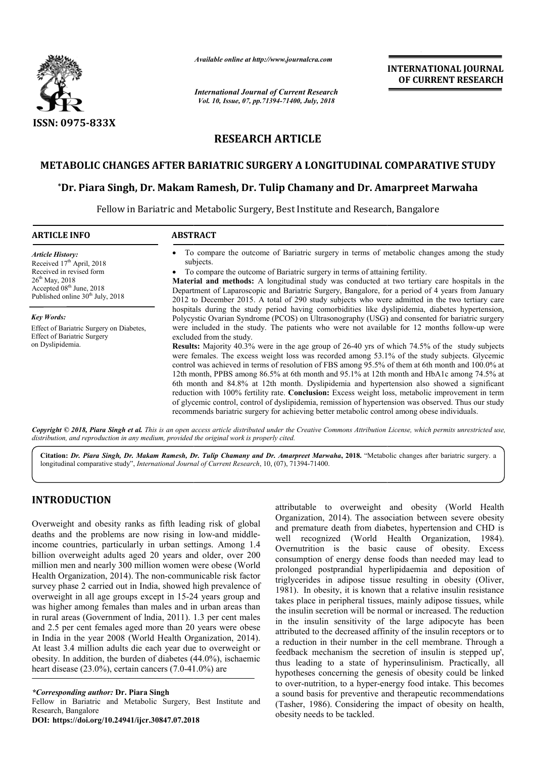

*Available online at http://www.journalcra.com*

*International Journal of Current Research Vol. 10, Issue, 07, pp.71394-71400, July, 2018*

**INTERNATIONAL JOURNAL OF CURRENT RESEARCH**

# **RESEARCH ARTICLE**

# METABOLIC CHANGES AFTER BARIATRIC SURGERY A LONGITUDINAL COMPARATIVE STUDY **FABOLIC CHANGES AFTER BARIATRIC SURGERY A LONGITUDINAL COMPARATIVE STUDY<br>\*Dr. Piara Singh, Dr. Makam Ramesh, Dr. Tulip Chamany and Dr. Amarpreet Marwaha**

Fellow in Bariatric and Metabolic Surgery, Best Institute and Research, Bangalore

| <b>ARTICLE INFO</b>                                                                                                                                                                                         | <b>ABSTRACT</b>                                                                                                                                                                                                                                                                                                                                                                                                                                                                                                                                                                                                                                                                                                                                                                                                                                                                                                                                          |  |  |
|-------------------------------------------------------------------------------------------------------------------------------------------------------------------------------------------------------------|----------------------------------------------------------------------------------------------------------------------------------------------------------------------------------------------------------------------------------------------------------------------------------------------------------------------------------------------------------------------------------------------------------------------------------------------------------------------------------------------------------------------------------------------------------------------------------------------------------------------------------------------------------------------------------------------------------------------------------------------------------------------------------------------------------------------------------------------------------------------------------------------------------------------------------------------------------|--|--|
| <b>Article History:</b><br>Received 17 <sup>th</sup> April, 2018<br>Received in revised form<br>$26^{th}$ May, 2018<br>Accepted 08 <sup>th</sup> June, 2018<br>Published online 30 <sup>th</sup> July, 2018 | To compare the outcome of Bariatric surgery in terms of metabolic changes among the study<br>subjects.<br>To compare the outcome of Bariatric surgery in terms of attaining fertility.<br><b>Material and methods:</b> A longitudinal study was conducted at two tertiary care hospitals in the<br>Department of Laparoscopic and Bariatric Surgery, Bangalore, for a period of 4 years from January<br>2012 to December 2015. A total of 290 study subjects who were admitted in the two tertiary care                                                                                                                                                                                                                                                                                                                                                                                                                                                  |  |  |
| <b>Key Words:</b>                                                                                                                                                                                           | hospitals during the study period having comorbidities like dyslipidemia, diabetes hypertension,<br>Polycystic Ovarian Syndrome (PCOS) on Ultrasonography (USG) and consented for bariatric surgery                                                                                                                                                                                                                                                                                                                                                                                                                                                                                                                                                                                                                                                                                                                                                      |  |  |
| Effect of Bariatric Surgery on Diabetes,<br><b>Effect of Bariatric Surgery</b><br>on Dyslipidemia.                                                                                                          | were included in the study. The patients who were not available for 12 months follow-up were<br>excluded from the study.<br><b>Results:</b> Majority 40.3% were in the age group of 26-40 yrs of which 74.5% of the study subjects<br>were females. The excess weight loss was recorded among 53.1% of the study subjects. Glycemic<br>control was achieved in terms of resolution of FBS among 95.5% of them at 6th month and 100.0% at<br>12th month, PPBS among 86.5% at 6th month and 95.1% at 12th month and HbA1c among 74.5% at<br>6th month and 84.8% at 12th month. Dyslipidemia and hypertension also showed a significant<br>reduction with 100% fertility rate. <b>Conclusion:</b> Excess weight loss, metabolic improvement in term<br>of glycemic control, control of dyslipidemia, remission of hypertension was observed. Thus our study<br>recommends bariatric surgery for achieving better metabolic control among obese individuals. |  |  |
|                                                                                                                                                                                                             | <b>Copyright © 2018, Piara Singh et al.</b> This is an open access article distributed under the Creative Commons Attribution License, which permits unrestricted use,                                                                                                                                                                                                                                                                                                                                                                                                                                                                                                                                                                                                                                                                                                                                                                                   |  |  |

*distribution, and reproduction in any medium, provided* Citation: Dr. Piara Singh, Dr. Makam Ramesh, Dr. Tulip Chamany and Dr. Amarpreet Marwaha, 2018. "Metabolic changes after bariatric surgery. a *the original work is properly cited.*

## **INTRODUCTION**

Overweight and obesity ranks as fifth leading risk of global deaths and the problems are now rising in low-and middleincome countries, particularly in urban settings. Among 1.4 billion overweight adults aged 20 years and older, over 200 million men and nearly 300 million women were obese (World Health Organization, 2014). The non-communicable risk factor survey phase 2 carried out in India, showed high prevalence of overweight in all age groups except in 15-24 years group and was higher among females than males and in urban areas than in rural areas (Government of lndia, 2011). 1.3 per cent males and 2.5 per cent females aged more than 20 years were obese in India in the year 2008 (World Health Organization At least 3.4 million adults die each year due to overweight or obesity. In addition, the burden of diabetes (44.0%), ischaemic heart disease  $(23.0\%)$ , certain cancers  $(7.0-41.0\%)$  are The non-communicable risk factor<br>in India, showed high prevalence of<br>ps except in 15-24 years group and<br>than males and in urban areas than<br>of India, 2011). 1.3 per cent males<br>ged more than 20 years were obese<br>World Health

longitudinal comparative study", *International Journal of Current Research* , 10, (07), 71394-71400.

*\*Corresponding author:* **Dr. Piara Singh**

Fellow in Bariatric and Metabolic Surgery, Best Institute and Research, Bangalore

**DOI: https://doi.org/10.24941/ijcr.30847.07.2018**

attributable to overweight and obesity<br>
organization, 2014). The association between<br>
in low-and middle-<br>
well recognized (World Health Organ<br>
an settings. Among 1.4<br>
overnutrition is the basic cause of<br>
organization evers Organization, 2014). The association between severe obesity and premature death from diabetes, hypertension and CHD is well recognized (World Health Organization, 1984). Overnutrition is the basic cause of obesity. Excess consumption of energy dense foods than needed may lead to prolonged postprandial hyperlipidaemia and deposition of Overnutrition is the basic cause of obesity. Excess consumption of energy dense foods than needed may lead to prolonged postprandial hyperlipidaemia and deposition of triglycerides in adipose tissue resulting in obesity (O 1981). In obesity, it is known that a relative insulin resistance takes place in peripheral tissues, mainly adipose tissues, while the insulin secretion will be normal or increased. The reduction 1981). In obesity, it is known that a relative insulin resistance takes place in peripheral tissues, mainly adipose tissues, while the insulin secretion will be normal or increased. The reduction in the insulin sensitivity attributed to the decreased affinity of the insulin receptors or to a reduction in their number in the cell membrane. Through a feedback mechanism the secretion of insulin is stepped up', thus leading to a state of hyperinsulinism. Practically, all hypotheses concerning the genesis of obesity could be linked to over-nutrition, to a hyper-energy food intake. This becomes a reduction in their number in the cell membrane. Through a feedback mechanism the secretion of insulin is stepped up', thus leading to a state of hyperinsulinism. Practically, all hypotheses concerning the genesis of obes (Tasher, 1986). Considering the impact of obesity on health, obesity needs to be tackled. attributable to overweight and obesity (World Health The association between severe obesity<br>from diabetes, hypertension and CHD is<br>World Health Organization, 1984).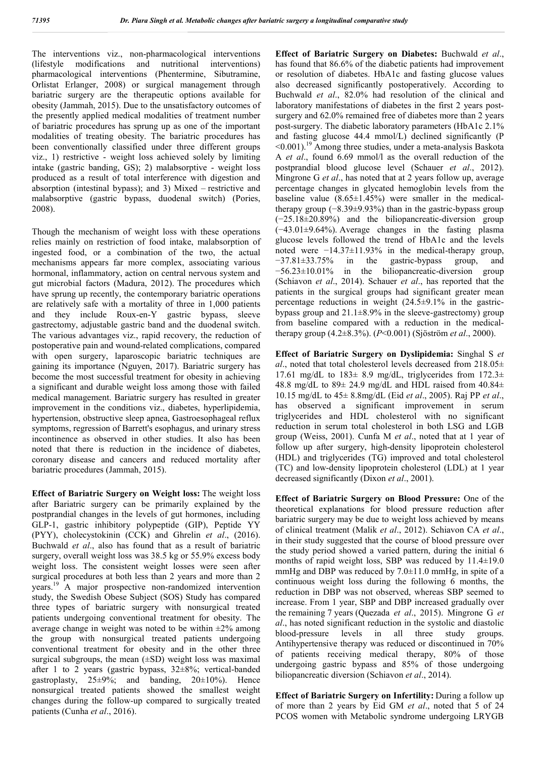The interventions viz., non-pharmacological interventions (lifestyle modifications and nutritional interventions) pharmacological interventions (Phentermine, Sibutramine, Orlistat Erlanger, 2008) or surgical management through bariatric surgery are the therapeutic options available for obesity (Jammah, 2015). Due to the unsatisfactory outcomes of the presently applied medical modalities of treatment number of bariatric procedures has sprung up as one of the important modalities of treating obesity. The bariatric procedures has been conventionally classified under three different groups viz., 1) restrictive - weight loss achieved solely by limiting intake (gastric banding, GS); 2) malabsorptive - weight loss produced as a result of total interference with digestion and absorption (intestinal bypass); and 3) Mixed – restrictive and malabsorptive (gastric bypass, duodenal switch) (Pories, 2008).

Though the mechanism of weight loss with these operations relies mainly on restriction of food intake, malabsorption of ingested food, or a combination of the two, the actual mechanisms appears far more complex, associating various hormonal, inflammatory, action on central nervous system and gut microbial factors (Madura, 2012). The procedures which have sprung up recently, the contemporary bariatric operations are relatively safe with a mortality of three in 1,000 patients and they include Roux-en-Y gastric bypass, sleeve gastrectomy, adjustable gastric band and the duodenal switch. The various advantages viz., rapid recovery, the reduction of postoperative pain and wound-related complications, compared with open surgery, laparoscopic bariatric techniques are gaining its importance (Nguyen, 2017). Bariatric surgery has become the most successful treatment for obesity in achieving a significant and durable weight loss among those with failed medical management. Bariatric surgery has resulted in greater improvement in the conditions viz., diabetes, hyperlipidemia, hypertension, obstructive sleep apnea, Gastroesophageal reflux symptoms, regression of Barrett's esophagus, and urinary stress incontinence as observed in other studies. It also has been noted that there is reduction in the incidence of diabetes, coronary disease and cancers and reduced mortality after bariatric procedures (Jammah, 2015).

**Effect of Bariatric Surgery on Weight loss:** The weight loss after Bariatric surgery can be primarily explained by the postprandial changes in the levels of gut hormones, including GLP-1, gastric inhibitory polypeptide (GIP), Peptide YY (PYY), cholecystokinin (CCK) and Ghrelin *et al*., (2016). Buchwald *et al*., also has found that as a result of bariatric surgery, overall weight loss was 38.5 kg or 55.9% excess body weight loss. The consistent weight losses were seen after surgical procedures at both less than 2 years and more than 2 years.19 A major prospective non-randomized intervention study, the Swedish Obese Subject (SOS) Study has compared three types of bariatric surgery with nonsurgical treated patients undergoing conventional treatment for obesity. The average change in weight was noted to be within  $\pm 2\%$  among the group with nonsurgical treated patients undergoing conventional treatment for obesity and in the other three surgical subgroups, the mean  $(\pm SD)$  weight loss was maximal after 1 to 2 years (gastric bypass,  $32\pm8\%$ ; vertical-banded gastroplasty,  $25\pm9\%$ ; and banding,  $20\pm10\%$ ). Hence nonsurgical treated patients showed the smallest weight changes during the follow-up compared to surgically treated patients (Cunha *et al*., 2016).

**Effect of Bariatric Surgery on Diabetes:** Buchwald *et al*., has found that 86.6% of the diabetic patients had improvement or resolution of diabetes. HbA1c and fasting glucose values also decreased significantly postoperatively. According to Buchwald *et al*., 82.0% had resolution of the clinical and laboratory manifestations of diabetes in the first 2 years postsurgery and  $62.0\%$  remained free of diabetes more than 2 years post-surgery. The diabetic laboratory parameters (HbA1c 2.1% and fasting glucose 44.4 mmol/L) declined significantly (P  $\leq 0.001$ .<sup>19</sup> Among three studies, under a meta-analysis Baskota A *et al*., found 6.69 mmol/l as the overall reduction of the postprandial blood glucose level (Schauer *et al*., 2012). Mingrone G *et al*., has noted that at 2 years follow up, average percentage changes in glycated hemoglobin levels from the baseline value  $(8.65 \pm 1.45\%)$  were smaller in the medicaltherapy group (−8.39±9.93%) than in the gastric-bypass group (−25.18±20.89%) and the biliopancreatic-diversion group (−43.01±9.64%). Average changes in the fasting plasma glucose levels followed the trend of HbA1c and the levels noted were −14.37±11.93% in the medical-therapy group,<br>-37.81±33.75% in the gastric-bypass group, and in the gastric-bypass group, and −56.23±10.01% in the biliopancreatic-diversion group (Schiavon *et al*., 2014). Schauer *et al*., has reported that the patients in the surgical groups had significant greater mean percentage reductions in weight  $(24.5\pm9.1\%$  in the gastricbypass group and 21.1±8.9% in the sleeve-gastrectomy) group from baseline compared with a reduction in the medicaltherapy group (4.2±8.3%). (*P*<0.001) (Sjöström *et al*., 2000).

**Effect of Bariatric Surgery on Dyslipidemia:** Singhal S *et al*., noted that total cholesterol levels decreased from 218.05± 17.61 mg/dL to  $183 \pm 8.9$  mg/dL, triglycerides from  $172.3 \pm$ 48.8 mg/dL to 89± 24.9 mg/dL and HDL raised from 40.84± 10.15 mg/dL to 45± 8.8mg/dL (Eid *et al*., 2005). Raj PP *et al*., has observed a significant improvement in serum triglycerides and HDL cholesterol with no significant reduction in serum total cholesterol in both LSG and LGB group (Weiss, 2001). Cunfa M *et al*., noted that at 1 year of follow up after surgery, high-density lipoprotein cholesterol (HDL) and triglycerides (TG) improved and total cholesterol (TC) and low-density lipoprotein cholesterol (LDL) at 1 year decreased significantly (Dixon *et al*., 2001).

**Effect of Bariatric Surgery on Blood Pressure:** One of the theoretical explanations for blood pressure reduction after bariatric surgery may be due to weight loss achieved by means of clinical treatment (Malik *et al*., 2012). Schiavon CA *et al*., in their study suggested that the course of blood pressure over the study period showed a varied pattern, during the initial 6 months of rapid weight loss, SBP was reduced by 11.4±19.0 mmHg and DBP was reduced by  $7.0\pm11.0$  mmHg, in spite of a continuous weight loss during the following 6 months, the reduction in DBP was not observed, whereas SBP seemed to increase. From 1 year, SBP and DBP increased gradually over the remaining 7 years (Quezada *et al*., 2015). Mingrone G *et al*., has noted significant reduction in the systolic and diastolic blood-pressure levels in all three study groups. Antihypertensive therapy was reduced or discontinued in 70% of patients receiving medical therapy, 80% of those undergoing gastric bypass and 85% of those undergoing biliopancreatic diversion (Schiavon *et al*., 2014).

**Effect of Bariatric Surgery on Infertility:** During a follow up of more than 2 years by Eid GM *et al*., noted that 5 of 24 PCOS women with Metabolic syndrome undergoing LRYGB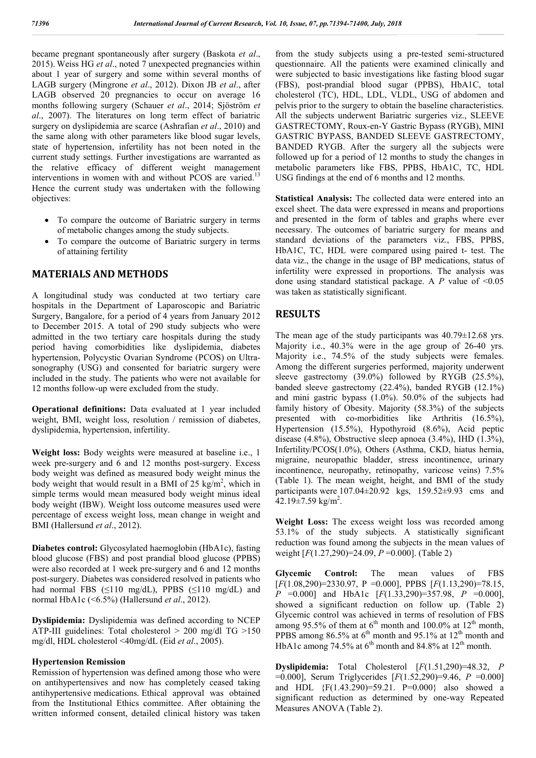became pregnant spontaneously after surgery (Baskota *et al*., 2015). Weiss HG *et al*., noted 7 unexpected pregnancies within about 1 year of surgery and some within several months of LAGB surgery (Mingrone *et al*., 2012). Dixon JB *et al*., after LAGB observed 20 pregnancies to occur on average 16 months following surgery (Schauer *et al*., 2014; Sjöström *et al*., 2007). The literatures on long term effect of bariatric surgery on dyslipidemia are scarce (Ashrafian *et al*., 2010) and the same along with other parameters like blood sugar levels, state of hypertension, infertility has not been noted in the current study settings. Further investigations are warranted as the relative efficacy of different weight management interventions in women with and without PCOS are varied.<sup>13</sup> Hence the current study was undertaken with the following objectives:

- To compare the outcome of Bariatric surgery in terms of metabolic changes among the study subjects.
- To compare the outcome of Bariatric surgery in terms of attaining fertility

### **MATERIALS AND METHODS**

A longitudinal study was conducted at two tertiary care hospitals in the Department of Laparoscopic and Bariatric Surgery, Bangalore, for a period of 4 years from January 2012 to December 2015. A total of 290 study subjects who were admitted in the two tertiary care hospitals during the study period having comorbidities like dyslipidemia, diabetes hypertension, Polycystic Ovarian Syndrome (PCOS) on Ultrasonography (USG) and consented for bariatric surgery were included in the study. The patients who were not available for 12 months follow-up were excluded from the study.

**Operational definitions:** Data evaluated at 1 year included weight, BMI, weight loss, resolution / remission of diabetes, dyslipidemia, hypertension, infertility.

**Weight loss:** Body weights were measured at baseline i.e., 1 week pre-surgery and 6 and 12 months post-surgery. Excess body weight was defined as measured body weight minus the body weight that would result in a BMI of  $25 \text{ kg/m}^2$ , which in simple terms would mean measured body weight minus ideal body weight (IBW). Weight loss outcome measures used were percentage of excess weight loss, mean change in weight and BMI (Hallersund *et al*., 2012).

**Diabetes control:** Glycosylated haemoglobin (HbA1c), fasting blood glucose (FBS) and post prandial blood glucose (PPBS) were also recorded at 1 week pre-surgery and 6 and 12 months post-surgery. Diabetes was considered resolved in patients who had normal FBS  $(\leq 110 \text{ mg/dL})$ , PPBS  $(\leq 110 \text{ mg/dL})$  and normal HbA1c (<6.5%) (Hallersund *et al*., 2012).

**Dyslipidemia:** Dyslipidemia was defined according to NCEP ATP-III guidelines: Total cholesterol > 200 mg/dl TG >150 mg/dl, HDL cholesterol <40mg/dL (Eid *et al*., 2005).

#### **Hypertension Remission**

Remission of hypertension was defined among those who were on antihypertensives and now has completely ceased taking antihypertensive medications. Ethical approval was obtained from the Institutional Ethics committee. After obtaining the written informed consent, detailed clinical history was taken from the study subjects using a pre-tested semi-structured questionnaire. All the patients were examined clinically and were subjected to basic investigations like fasting blood sugar (FBS), post-prandial blood sugar (PPBS), HbA1C, total cholesterol (TC), HDL, LDL, VLDL, USG of abdomen and pelvis prior to the surgery to obtain the baseline characteristics. All the subjects underwent Bariatric surgeries viz., SLEEVE GASTRECTOMY, Roux-en-Y Gastric Bypass (RYGB), MINI GASTRIC BYPASS, BANDED SLEEVE GASTRECTOMY, BANDED RYGB. After the surgery all the subjects were followed up for a period of 12 months to study the changes in metabolic parameters like FBS, PPBS, HbA1C, TC, HDL USG findings at the end of 6 months and 12 months.

**Statistical Analysis:** The collected data were entered into an excel sheet. The data were expressed in means and proportions and presented in the form of tables and graphs where ever necessary. The outcomes of bariatric surgery for means and standard deviations of the parameters viz., FBS, PPBS, HbA1C, TC, HDL were compared using paired t- test. The data viz., the change in the usage of BP medications, status of infertility were expressed in proportions. The analysis was done using standard statistical package. A *P* value of <0.05 was taken as statistically significant.

#### **RESULTS**

The mean age of the study participants was 40.79±12.68 yrs. Majority i.e., 40.3% were in the age group of 26-40 yrs. Majority i.e., 74.5% of the study subjects were females. Among the different surgeries performed, majority underwent sleeve gastrectomy (39.0%) followed by RYGB (25.5%), banded sleeve gastrectomy (22.4%), banded RYGB (12.1%) and mini gastric bypass (1.0%). 50.0% of the subjects had family history of Obesity. Majority (58.3%) of the subjects presented with co-morbidities like Arthritis (16.5%), Hypertension (15.5%), Hypothyroid (8.6%), Acid peptic disease (4.8%), Obstructive sleep apnoea (3.4%), IHD (1.3%), Infertility/PCOS(1.0%), Others (Asthma, CKD, hiatus hernia, migraine, neuropathic bladder, stress incontinence, urinary incontinence, neuropathy, retinopathy, varicose veins) 7.5% (Table 1). The mean weight, height, and BMI of the study participants were 107.04±20.92 kgs, 159.52±9.93 cms and  $42.19 \pm 7.59$  kg/m<sup>2</sup>.

**Weight Loss:** The excess weight loss was recorded among 53.1% of the study subjects. A statistically significant reduction was found among the subjects in the mean values of weight [*F*(1.27,290)=24.09, *P* =0.000]. (Table 2)

**Glycemic Control:** The mean values of FBS [*F*(1.08,290)=2330.97, P =0.000], PPBS [*F*(1.13,290)=78.15, *P* =0.000] and HbA1c [*F*(1.33,290)=357.98, *P* =0.000], showed a significant reduction on follow up. (Table 2) Glycemic control was achieved in terms of resolution of FBS among 95.5% of them at  $6<sup>th</sup>$  month and 100.0% at 12<sup>th</sup> month, PPBS among 86.5% at  $6<sup>th</sup>$  month and 95.1% at 12<sup>th</sup> month and HbA1c among 74.5% at  $6<sup>th</sup>$  month and 84.8% at 12<sup>th</sup> month.

**Dyslipidemia:** Total Cholesterol [*F*(1.51,290)=48.32, *P* =0.000], Serum Triglycerides [*F*(1.52,290)=9.46, *P* =0.000] and HDL {F(1.43.290)=59.21. P=0.000} also showed a significant reduction as determined by one-way Repeated Measures ANOVA (Table 2).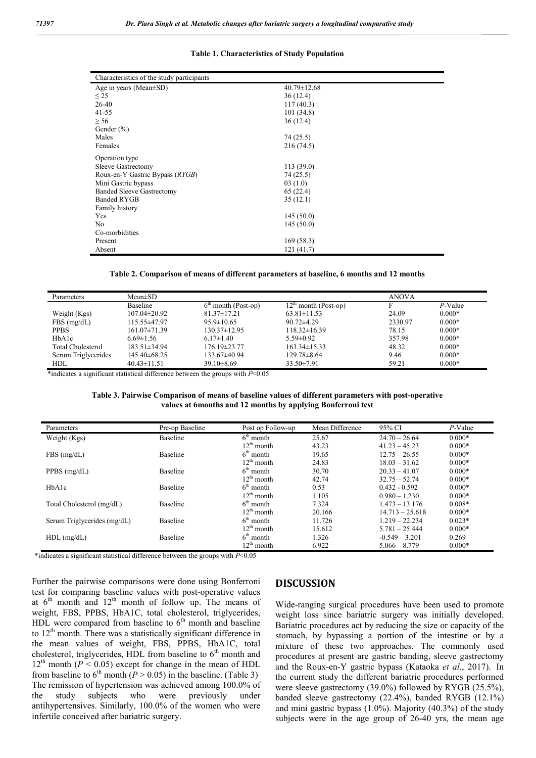| Characteristics of the study participants |                   |
|-------------------------------------------|-------------------|
| Age in years (Mean±SD)                    | $40.79 \pm 12.68$ |
| $\leq$ 25                                 | 36(12.4)          |
| 26-40                                     | 117(40.3)         |
| $41 - 55$                                 | 101(34.8)         |
| $\geq 56$                                 | 36(12.4)          |
| Gender $(\% )$                            |                   |
| Males                                     | 74 (25.5)         |
| Females                                   | 216(74.5)         |
| Operation type                            |                   |
| Sleeve Gastrectomy                        | 113(39.0)         |
| Roux-en-Y Gastric Bypass (RYGB)           | 74 (25.5)         |
| Mini Gastric bypass                       | 03(1.0)           |
| <b>Banded Sleeve Gastrectomy</b>          | 65(22.4)          |
| <b>Banded RYGB</b>                        | 35(12.1)          |
| Family history                            |                   |
| Yes                                       | 145(50.0)         |
| No                                        | 145(50.0)         |
| Co-morbidities                            |                   |
| Present                                   | 169(58.3)         |
| Absent                                    | 121(41.7)         |

#### **Table 1. Characteristics of Study Population**

**Table 2. Comparison of means of different parameters at baseline, 6 months and 12 months**

| Parameters               | $Mean \pm SD$      |                      |                        | <b>ANOVA</b> |            |  |
|--------------------------|--------------------|----------------------|------------------------|--------------|------------|--|
|                          | Baseline           | $6m$ month (Post-op) | $12th$ month (Post-op) |              | $P$ -Value |  |
| Weight (Kgs)             | $107.04 \pm 20.92$ | $81.37 \pm 17.21$    | $63.81 \pm 11.53$      | 24.09        | $0.000*$   |  |
| FBS(mg/dL)               | $115.55\pm47.97$   | $95.9 \pm 10.65$     | $90.72 \pm 4.29$       | 2330.97      | $0.000*$   |  |
| <b>PPBS</b>              | $161.07\pm71.39$   | $130.37 \pm 12.95$   | $118.32 \pm 16.39$     | 78.15        | $0.000*$   |  |
| HbA1c                    | $6.69 \pm 1.56$    | $6.17\pm1.40$        | $5.59 \pm 0.92$        | 357.98       | $0.000*$   |  |
| <b>Total Cholesterol</b> | $183.51 \pm 34.94$ | $176.19\pm23.77$     | $163.34\pm15.33$       | 48.32        | $0.000*$   |  |
| Serum Triglycerides      | $145.40\pm68.25$   | $133.67\pm40.94$     | 129.78±8.64            | 9.46         | $0.000*$   |  |
| HDL                      | $40.43 \pm 11.51$  | $39.10\pm8.69$       | $33.50 \pm 7.91$       | 59.21        | $0.000*$   |  |

\*indicates a significant statistical difference between the groups with *P*<0.05

**Table 3. Pairwise Comparison of means of baseline values of different parameters with post-operative values at 6months and 12 months by applying Bonferroni test**

| Parameters                  | Pre-op Baseline | Post op Follow-up | Mean Difference | 95% CI            | $P$ -Value |
|-----------------------------|-----------------|-------------------|-----------------|-------------------|------------|
| Weight (Kgs)                | Baseline        | $6th$ month       | 25.67           | $24.70 - 26.64$   | $0.000*$   |
|                             |                 | $12^{th}$ month   | 43.23           | $41.23 - 45.23$   | $0.000*$   |
| $FBS$ (mg/dL)               | Baseline        | $6th$ month       | 19.65           | $12.75 - 26.55$   | $0.000*$   |
|                             |                 | $12^{th}$ month   | 24.83           | $18.03 - 31.62$   | $0.000*$   |
| $PPBS$ (mg/dL)              | Baseline        | $6th$ month       | 30.70           | $20.33 - 41.07$   | $0.000*$   |
|                             |                 | $12th$ month      | 42.74           | $32.75 - 52.74$   | $0.000*$   |
| HbA1c                       | Baseline        | $6th$ month       | 0.53            | $0.432 - 0.592$   | $0.000*$   |
|                             |                 | $12th$ month      | 1.105           | $0.980 - 1.230$   | $0.000*$   |
| Total Cholesterol (mg/dL)   | Baseline        | $6th$ month       | 7.324           | $1.473 - 13.176$  | $0.008*$   |
|                             |                 | $12^{th}$ month   | 20.166          | $14.713 - 25.618$ | $0.000*$   |
| Serum Triglycerides (mg/dL) | Baseline        | $6th$ month       | 11.726          | $1.219 - 22.234$  | $0.023*$   |
|                             |                 | $12^{th}$ month   | 15.612          | $5.781 - 25.444$  | $0.000*$   |
| $HDL$ (mg/dL)               | Baseline        | $6th$ month       | 1.326           | $-0.549 - 3.201$  | 0.269      |
|                             |                 | $12th$ month      | 6.922           | $5.066 - 8.779$   | $0.000*$   |

\*indicates a significant statistical difference between the groups with *P*<0.05

Further the pairwise comparisons were done using Bonferroni test for comparing baseline values with post-operative values at  $6<sup>th</sup>$  month and  $12<sup>th</sup>$  month of follow up. The means of weight, FBS, PPBS, HbA1C, total cholesterol, triglycerides, HDL were compared from baseline to  $6<sup>th</sup>$  month and baseline to  $12<sup>th</sup>$  month. There was a statistically significant difference in the mean values of weight, FBS, PPBS, HbA1C, total cholesterol, triglycerides, HDL from baseline to  $6<sup>th</sup>$  month and  $12<sup>th</sup>$  month ( $P < 0.05$ ) except for change in the mean of HDL from baseline to  $6<sup>th</sup>$  month ( $P > 0.05$ ) in the baseline. (Table 3) The remission of hypertension was achieved among 100.0% of the study subjects who were previously under antihypertensives. Similarly, 100.0% of the women who were infertile conceived after bariatric surgery.

#### **DISCUSSION**

Wide-ranging surgical procedures have been used to promote weight loss since bariatric surgery was initially developed. Bariatric procedures act by reducing the size or capacity of the stomach, by bypassing a portion of the intestine or by a mixture of these two approaches. The commonly used procedures at present are gastric banding, sleeve gastrectomy and the Roux-en-Y gastric bypass (Kataoka *et al*., 2017). In the current study the different bariatric procedures performed were sleeve gastrectomy (39.0%) followed by RYGB (25.5%), banded sleeve gastrectomy (22.4%), banded RYGB (12.1%) and mini gastric bypass (1.0%). Majority (40.3%) of the study subjects were in the age group of 26-40 yrs, the mean age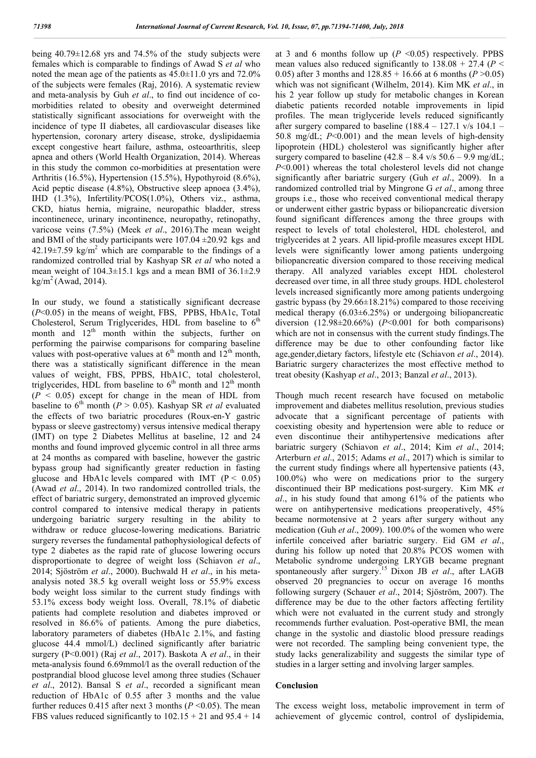being 40.79±12.68 yrs and 74.5% of the study subjects were females which is comparable to findings of Awad S *et al* who noted the mean age of the patients as 45.0±11.0 yrs and 72.0% of the subjects were females (Raj, 2016). A systematic review and meta-analysis by Guh *et al*., to find out incidence of comorbidities related to obesity and overweight determined statistically significant associations for overweight with the incidence of type II diabetes, all cardiovascular diseases like hypertension, coronary artery disease, stroke, dyslipidaemia except congestive heart failure, asthma, osteoarthritis, sleep apnea and others (World Health Organization, 2014). Whereas in this study the common co-morbidities at presentation were Arthritis (16.5%), Hypertension (15.5%), Hypothyroid (8.6%), Acid peptic disease (4.8%), Obstructive sleep apnoea (3.4%), IHD (1.3%), Infertility/PCOS(1.0%), Others viz., asthma, CKD, hiatus hernia, migraine, neuropathic bladder, stress incontinenece, urinary incontinence, neuropathy, retinopathy, varicose veins (7.5%) (Meek *et al*., 2016).The mean weight and BMI of the study participants were  $107.04 \pm 20.92$  kgs and  $42.19\pm7.59$  kg/m<sup>2</sup> which are comparable to the findings of a randomized controlled trial by Kashyap SR *et al* who noted a mean weight of 104.3±15.1 kgs and a mean BMI of 36.1±2.9  $kg/m^{2}$  (Awad, 2014).

In our study, we found a statistically significant decrease (*P*<0.05) in the means of weight, FBS, PPBS, HbA1c, Total Cholesterol, Serum Triglycerides, HDL from baseline to  $6<sup>th</sup>$ month and  $12<sup>th</sup>$  month within the subjects, further on performing the pairwise comparisons for comparing baseline values with post-operative values at  $6<sup>th</sup>$  month and  $12<sup>th</sup>$  month, there was a statistically significant difference in the mean values of weight, FBS, PPBS, HbA1C, total cholesterol, triglycerides, HDL from baseline to  $6<sup>th</sup>$  month and  $12<sup>th</sup>$  month  $(P \le 0.05)$  except for change in the mean of HDL from baseline to  $6^{th}$  month ( $P > 0.05$ ). Kashyap SR *et al* evaluated the effects of two bariatric procedures (Roux-en-Y gastric bypass or sleeve gastrectomy) versus intensive medical therapy (IMT) on type 2 Diabetes Mellitus at baseline, 12 and 24 months and found improved glycemic control in all three arms at 24 months as compared with baseline, however the gastric bypass group had significantly greater reduction in fasting glucose and HbA1c levels compared with IMT ( $P < 0.05$ ) (Awad *et al*., 2014). In two randomized controlled trials, the effect of bariatric surgery, demonstrated an improved glycemic control compared to intensive medical therapy in patients undergoing bariatric surgery resulting in the ability to withdraw or reduce glucose-lowering medications. Bariatric surgery reverses the fundamental pathophysiological defects of type 2 diabetes as the rapid rate of glucose lowering occurs disproportionate to degree of weight loss (Schiavon *et al*., 2014; Sjöström *et al*., 2000). Buchwald H *et al*., in his metaanalysis noted 38.5 kg overall weight loss or 55.9% excess body weight loss similar to the current study findings with 53.1% excess body weight loss. Overall, 78.1% of diabetic patients had complete resolution and diabetes improved or resolved in 86.6% of patients. Among the pure diabetics, laboratory parameters of diabetes (HbA1c 2.1%, and fasting glucose 44.4 mmol/L) declined significantly after bariatric surgery (P<0.001) (Raj *et al*., 2017). Baskota A *et al*., in their meta-analysis found 6.69mmol/l as the overall reduction of the postprandial blood glucose level among three studies (Schauer *et al*., 2012). Bansal S *et al*., recorded a significant mean reduction of HbA1c of 0.55 after 3 months and the value further reduces 0.415 after next 3 months ( $P \le 0.05$ ). The mean FBS values reduced significantly to  $102.15 + 21$  and  $95.4 + 14$ 

at 3 and 6 months follow up  $(P \le 0.05)$  respectively. PPBS mean values also reduced significantly to  $138.08 + 27.4$  ( $P <$ 0.05) after 3 months and  $128.85 + 16.66$  at 6 months ( $P > 0.05$ ) which was not significant (Wilhelm, 2014). Kim MK *et al*., in his 2 year follow up study for metabolic changes in Korean diabetic patients recorded notable improvements in lipid profiles. The mean triglyceride levels reduced significantly after surgery compared to baseline  $(188.4 - 127.1 \text{ v/s } 104.1 -$ 50.8 mg/dL; *P*<0.001) and the mean levels of high-density lipoprotein (HDL) cholesterol was significantly higher after surgery compared to baseline  $(42.8 - 8.4 \text{ v/s } 50.6 - 9.9 \text{ mg/dL})$ ; *P*<0.001) whereas the total cholesterol levels did not change significantly after bariatric surgery (Guh *et al*., 2009). In a randomized controlled trial by Mingrone G *et al*., among three groups i.e., those who received conventional medical therapy or underwent either gastric bypass or biliopancreatic diversion found significant differences among the three groups with respect to levels of total cholesterol, HDL cholesterol, and triglycerides at 2 years. All lipid-profile measures except HDL levels were significantly lower among patients undergoing biliopancreatic diversion compared to those receiving medical therapy. All analyzed variables except HDL cholesterol decreased over time, in all three study groups. HDL cholesterol levels increased significantly more among patients undergoing gastric bypass (by 29.66±18.21%) compared to those receiving medical therapy  $(6.03\pm6.25\%)$  or undergoing biliopancreatic diversion  $(12.98\pm20.66\%)$   $(P<0.001$  for both comparisons) which are not in consensus with the current study findings.The difference may be due to other confounding factor like age,gender,dietary factors, lifestyle etc (Schiavon *et al*., 2014). Bariatric surgery characterizes the most effective method to treat obesity (Kashyap *et al*., 2013; Banzal *et al*., 2013).

Though much recent research have focused on metabolic improvement and diabetes mellitus resolution, previous studies advocate that a significant percentage of patients with coexisting obesity and hypertension were able to reduce or even discontinue their antihypertensive medications after bariatric surgery (Schiavon *et al*., 2014; Kim *et al*., 2014; Arterburn *et al*., 2015; Adams *et al*., 2017) which is similar to the current study findings where all hypertensive patients (43, 100.0%) who were on medications prior to the surgery discontinued their BP medications post-surgery. Kim MK *et al*., in his study found that among 61% of the patients who were on antihypertensive medications preoperatively, 45% became normotensive at 2 years after surgery without any medication (Guh *et al*., 2009). 100.0% of the women who were infertile conceived after bariatric surgery. Eid GM *et al*., during his follow up noted that 20.8% PCOS women with Metabolic syndrome undergoing LRYGB became pregnant spontaneously after surgery.<sup>15</sup> Dixon JB *et al.*, after LAGB observed 20 pregnancies to occur on average 16 months following surgery (Schauer *et al*., 2014; Sjöström, 2007). The difference may be due to the other factors affecting fertility which were not evaluated in the current study and strongly recommends further evaluation. Post-operative BMI, the mean change in the systolic and diastolic blood pressure readings were not recorded. The sampling being convenient type, the study lacks generalizability and suggests the similar type of studies in a larger setting and involving larger samples.

#### **Conclusion**

The excess weight loss, metabolic improvement in term of achievement of glycemic control, control of dyslipidemia,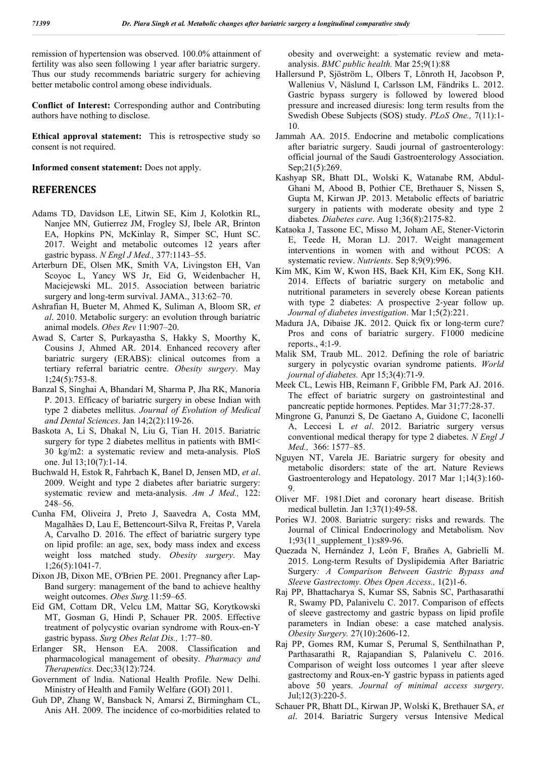remission of hypertension was observed. 100.0% attainment of fertility was also seen following 1 year after bariatric surgery. Thus our study recommends bariatric surgery for achieving better metabolic control among obese individuals.

**Conflict of Interest:** Corresponding author and Contributing authors have nothing to disclose.

**Ethical approval statement:** This is retrospective study so consent is not required.

**Informed consent statement:** Does not apply.

#### **REFERENCES**

- Adams TD, Davidson LE, Litwin SE, Kim J, Kolotkin RL, Nanjee MN, Gutierrez JM, Frogley SJ, Ibele AR, Brinton EA, Hopkins PN, McKinlay R, Simper SC, Hunt SC. 2017. Weight and metabolic outcomes 12 years after gastric bypass. *N Engl J Med.,* 377:1143–55.
- Arterburn DE, Olsen MK, Smith VA, Livingston EH, Van Scoyoc L, Yancy WS Jr, Eid G, Weidenbacher H, Maciejewski ML. 2015. Association between bariatric surgery and long-term survival. JAMA., 313:62–70.
- Ashrafian H, Bueter M, Ahmed K, Suliman A, Bloom SR, *et al*. 2010. Metabolic surgery: an evolution through bariatric animal models. *Obes Rev* 11:907–20.
- Awad S, Carter S, Purkayastha S, Hakky S, Moorthy K, Cousins J, Ahmed AR. 2014. Enhanced recovery after bariatric surgery (ERABS): clinical outcomes from a tertiary referral bariatric centre. *Obesity surgery*. May 1;24(5):753-8.
- Banzal S, Singhai A, Bhandari M, Sharma P, Jha RK, Manoria P. 2013. Efficacy of bariatric surgery in obese Indian with type 2 diabetes mellitus. *Journal of Evolution of Medical and Dental Sciences*. Jan 14;2(2):119-26.
- Baskota A, Li S, Dhakal N, Liu G, Tian H. 2015. Bariatric surgery for type 2 diabetes mellitus in patients with BMI< 30 kg/m2: a systematic review and meta-analysis. PloS one. Jul 13;10(7):1-14.
- Buchwald H, Estok R, Fahrbach K, Banel D, Jensen MD, *et al*. 2009. Weight and type 2 diabetes after bariatric surgery: systematic review and meta-analysis. *Am J Med.,* 122: 248–56.
- Cunha FM, Oliveira J, Preto J, Saavedra A, Costa MM, Magalhães D, Lau E, Bettencourt-Silva R, Freitas P, Varela A, Carvalho D. 2016. The effect of bariatric surgery type on lipid profile: an age, sex, body mass index and excess weight loss matched study. *Obesity surgery*. May 1;26(5):1041-7.
- Dixon JB, Dixon ME, O'Brien PE. 2001. Pregnancy after Lap-Band surgery: management of the band to achieve healthy weight outcomes. *Obes Surg.*11:59–65.
- Eid GM, Cottam DR, Velcu LM, Mattar SG, Korytkowski MT, Gosman G, Hindi P, Schauer PR. 2005. Effective treatment of polycystic ovarian syndrome with Roux-en-Y gastric bypass. *Surg Obes Relat Dis.,* 1:77–80.
- Erlanger SR, Henson EA. 2008. Classification and pharmacological management of obesity. *Pharmacy and Therapeutics.* Dec;33(12):724.
- Government of lndia. National Health Profile. New Delhi. Ministry of Health and Family Welfare (GOI) 2011.
- Guh DP, Zhang W, Bansback N, Amarsi Z, Birmingham CL, Anis AH. 2009. The incidence of co-morbidities related to

obesity and overweight: a systematic review and metaanalysis. *BMC public health.* Mar 25;9(1):88

- Hallersund P, Sjöström L, Olbers T, Lönroth H, Jacobson P, Wallenius V, Näslund I, Carlsson LM, Fändriks L. 2012. Gastric bypass surgery is followed by lowered blood pressure and increased diuresis: long term results from the Swedish Obese Subjects (SOS) study. *PLoS One.,* 7(11):1- 10.
- Jammah AA. 2015. Endocrine and metabolic complications after bariatric surgery. Saudi journal of gastroenterology: official journal of the Saudi Gastroenterology Association. Sep;21(5):269.
- Kashyap SR, Bhatt DL, Wolski K, Watanabe RM, Abdul-Ghani M, Abood B, Pothier CE, Brethauer S, Nissen S, Gupta M, Kirwan JP. 2013. Metabolic effects of bariatric surgery in patients with moderate obesity and type 2 diabetes*. Diabetes care*. Aug 1;36(8):2175-82.
- Kataoka J, Tassone EC, Misso M, Joham AE, Stener-Victorin E, Teede H, Moran LJ. 2017. Weight management interventions in women with and without PCOS: A systematic review. *Nutrients*. Sep 8;9(9):996.
- Kim MK, Kim W, Kwon HS, Baek KH, Kim EK, Song KH. 2014. Effects of bariatric surgery on metabolic and nutritional parameters in severely obese Korean patients with type 2 diabetes: A prospective 2‐year follow up. *Journal of diabetes investigation*. Mar 1;5(2):221.
- Madura JA, Dibaise JK. 2012. Quick fix or long-term cure? Pros and cons of bariatric surgery. F1000 medicine reports., 4:1-9.
- Malik SM, Traub ML. 2012. Defining the role of bariatric surgery in polycystic ovarian syndrome patients. *World journal of diabetes.* Apr 15;3(4):71-9.
- Meek CL, Lewis HB, Reimann F, Gribble FM, Park AJ. 2016. The effect of bariatric surgery on gastrointestinal and pancreatic peptide hormones. Peptides. Mar 31;77:28-37.
- Mingrone G, Panunzi S, De Gaetano A, Guidone C, Iaconelli A, Leccesi L *et al*. 2012. Bariatric surgery versus conventional medical therapy for type 2 diabetes. *N Engl J Med.,* 366: 1577–85.
- Nguyen NT, Varela JE. Bariatric surgery for obesity and metabolic disorders: state of the art. Nature Reviews Gastroenterology and Hepatology. 2017 Mar 1;14(3):160- 9.
- Oliver MF. 1981.Diet and coronary heart disease. British medical bulletin. Jan 1;37(1):49-58.
- Pories WJ. 2008. Bariatric surgery: risks and rewards. The Journal of Clinical Endocrinology and Metabolism. Nov 1;93(11\_supplement\_1):s89-96.
- Quezada N, Hernández J, León F, Brañes A, Gabrielli M. 2015. Long-term Results of Dyslipidemia After Bariatric Surgery*: A Comparison Between Gastric Bypass and Sleeve Gastrectomy. Obes Open Access.,* 1(2)1-6.
- Raj PP, Bhattacharya S, Kumar SS, Sabnis SC, Parthasarathi R, Swamy PD, Palanivelu C. 2017. Comparison of effects of sleeve gastrectomy and gastric bypass on lipid profile parameters in Indian obese: a case matched analysis. *Obesity Surgery.* 27(10):2606-12.
- Raj PP, Gomes RM, Kumar S, Perumal S, Senthilnathan P, Parthasarathi R, Rajapandian S, Palanivelu C. 2016. Comparison of weight loss outcomes 1 year after sleeve gastrectomy and Roux-en-Y gastric bypass in patients aged above 50 years. *Journal of minimal access surgery*. Jul;12(3):220-5.
- Schauer PR, Bhatt DL, Kirwan JP, Wolski K, Brethauer SA, *et al*. 2014. Bariatric Surgery versus Intensive Medical